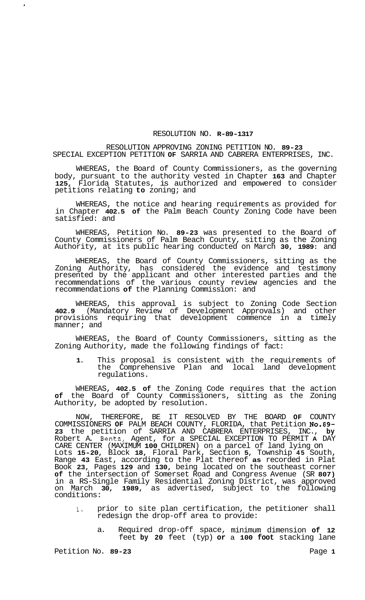## RESOLUTION NO. **R-89-1317**

## RESOLUTION APPROVING ZONING PETITION NO. **89-23**  SPECIAL EXCEPTION PETITION **OF** SARRIA AND CABRERA ENTERPRISES, INC.

WHEREAS, the Board of County Commissioners, as the governing body, pursuant to the authority vested in Chapter **163** and Chapter **125,** Florida Statutes, is authorized and empowered to consider petitions relating **to** zoning; and

WHEREAS, the notice and hearing requirements as provided for in Chapter **402.5 of** the Palm Beach County Zoning Code have been satisfied: and

WHEREAS, Petition No. **89-23** was presented to the Board of County Commissioners of Palm Beach County, sitting as the Zoning Authority, at its public hearing conducted on March **30, 1989:** and

WHEREAS, the Board of County Commissioners, sitting as the Zoning Authority, has considered the evidence and testimony presented by the applicant and other interested parties and the recommendations of the various county review agencies and the recommendations **of** the Planning Commission: and

WHEREAS, this approval is subject to Zoning Code Section **402.9** (Mandatory Review of Development Approvals) and other provisions requiring that development commence in a timely manner; and

WHEREAS, the Board of County Commissioners, sitting as the Zoning Authority, made the following findings of fact:

**1.** This proposal is consistent with the requirements of the Comprehensive Plan and local land development regulations.

WHEREAS, **402.5 of** the Zoning Code requires that the action **of** the Board of County Commissioners, sitting as the Zoning Authority, be adopted by resolution.

NOW, THEREFORE, BE IT RESOLVED BY THE BOARD **OF** COUNTY COMMISSIONERS **OF** PALM BEACH COUNTY, FLORIDA, that Petition **No.89- 23** the petition of SARRIA AND CABRERA ENTERPRISES, INC., **by**  Robert A. Bentz, Agent, for a SPECIAL EXCEPTION TO PERMIT **A** DAY CARE CENTER (MAXIMUM **100** CHILDREN) on a parcel of land lying on Lots **15-20,** Block **18,** Floral Park, Section **5,** Township **45** South, Range **43** East, according to the Plat thereof **as** recorded in Plat Book **23,** Pages **129** and **130,** being located on the southeast corner **of** the intersection of Somerset Road and Congress Avenue (SR **807)**  in a RS-Single Family Residential Zoning District, was approved on March **30, 1989,** as advertised, subject to the following conditions:

- **1.** prior to site plan certification, the petitioner shall redesign the drop-off area to provide:
	- a. Required drop-off space, minimum dimension **of 12**  feet **by 20** feet (typ) **or** a **100 foot** stacking lane

 $\bullet$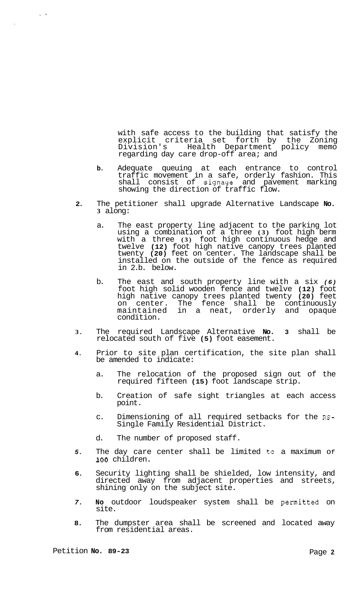with safe access to the building that satisfy the explicit criteria set forth by the Zoning Division's Health Department policy memo regarding day care drop-off area; and

- **b.** Adequate queuing at each entrance to control traffic movement in a safe, orderly fashion. This shall consist of signage and pavement marking showing the direction of traffic flow.
- **2.** The petitioner shall upgrade Alternative Landscape **No. 3** along:
	- a. The east property line adjacent to the parking lot using a combination of a three **(3)** foot high berm with a three **(3)** foot high continuous hedge and twelve **(12)** foot high native canopy trees planted twenty **(20)** feet on center. The landscape shall be installed on the outside of the fence as required in 2.b. below.
	- b. The east and south property line with a six *(6)*  foot high solid wooden fence and twelve **(12)** foot high native canopy trees planted twenty **(20)** feet on center. The fence shall be continuously maintained in a neat, orderly and opaque condition.
- **3.** The required Landscape Alternative **No. 3** shall be relocated south of five **(5)** foot easement.
- **4.** Prior to site plan certification, the site plan shall be amended to indicate:
	- a. The relocation of the proposed sign out of the required fifteen **(15)** foot landscape strip.
	- b. Creation of safe sight triangles at each access point.
	- c. Dimensioning of all required setbacks for the **RS-**Single Family Residential District.
	- d. The number of proposed staff.
- *5.* The day care center shall be limited to a maximum Of **100** children.
- **6.** Security lighting shall be shielded, low intensity, and directed away from adjacent properties and streets, shining only on the subject site.
- *7.* **No** outdoor loudspeaker system shall be permitted on site.
- **8.** The dumpster area shall be screened and located away from residential areas.

 $\mathbf{r}^{(1)}$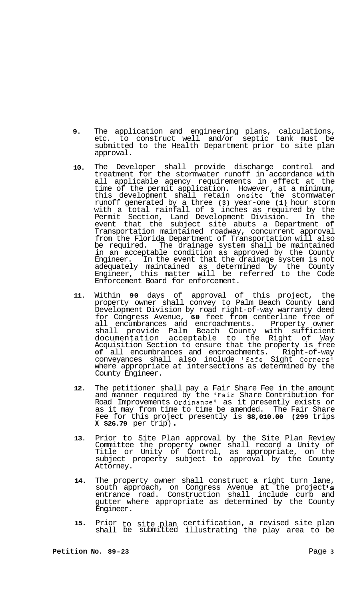- **9.** The application and engineering plans, calculations, etc. to construct well and/or septic tank must be submitted to the Health Department prior to site plan approval.
- **10.**  The Developer shall provide discharge control and treatment for the stormwater runoff in accordance with all applicable agency requirements in effect at the time of the permit application. However, at a minimum, this development shall retain onsite the stormwater runoff generated by a three **(3)** year-one **(1)** hour storm with a total rainfall of **3** inches as required by the Permit Section, Land Development Division. In the event that the subject site abuts a Department **of**  Transportation maintained roadway, concurrent approval from the Florida Department of Transportation will also be required. The drainage system shall be maintained in an acceptable condition as approved by the County Engineer. In the event that the drainage system is not adequately maintained as determined by the County Engineer, this matter will be referred to the Code Enforcement Board for enforcement.
- **11.**  Within **90** days of approval of this project, the property owner shall convey to Palm Beach County Land Development Division by road right-of-way warranty deed for Congress Avenue, **60** feet from centerline free of all encumbrances and encroachments. Property owner shall provide Palm Beach County with sufficient documentation acceptable to the Right of Way Acquisition Section to ensure that the property is free **of** all encumbrances and encroachments. Right-of-way conveyances shall also include "Safe Sight Corners" where appropriate at intersections as determined by the County Engineer.
- **12.** The petitioner shall pay a Fair Share Fee in the amount and manner required by the !'Fair Share Contribution for Road Improvements Ordinance" as it presently exists or as it may from time to time be amended. The Fair Share Fee for this project presently is **\$8,010.00 (299** trips **X \$26.79** per trip) .
- **13.** Prior to Site Plan approval by the Site Plan Review Committee the property owner shall record a Unity of Title or Unity of Control, as appropriate, on the subject property subject to approval by the County Attorney.
- **14.** The property owner shall construct a right turn lane, south approach, on Congress Avenue at the project's entrance road. Construction shall include curb and gutter where appropriate as determined by the County Engineer.
- **15.** Prior to site plan certification, a revised site plan shall be submitted illustrating the play area to be